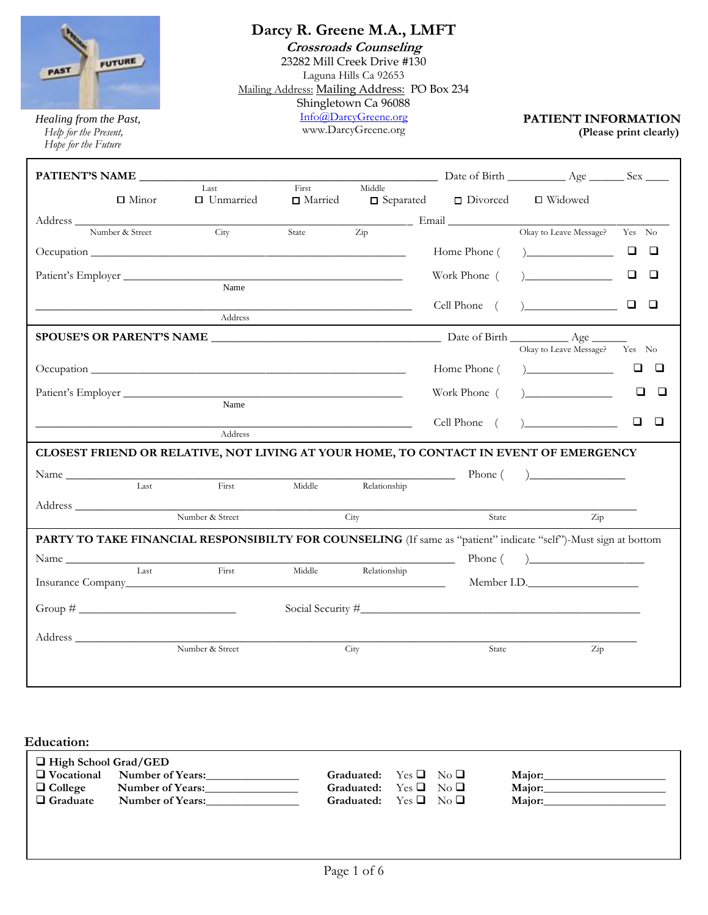

*Healing from the Past,*<br> *Help for the Present,*<br> *Help for the Present,*<br> **PATIENT INFORMATION**<br> **PATIENT INFORMATION**<br> **PATIENT INFORMATION** *Help for the Present,* **(Please print clearly)**  *Hope for the Future*

## **Darcy R. Greene M.A., LMFT**

**Crossroads Counseling**

**33333** Shingletown Ca 96088 23282 Mill Creek Drive #130 Laguna Hills Ca 92653 Mailing Address: Mailing Address: PO Box 234 [Info@DarcyGreene.org](mailto:Info@DarcyGreene.org)

www.DarcyGreene.org

| $\Box$ Minor                                                                                                    | Last<br>□ Unmarried | First<br>□ Married | Middle       | $\Box$ Separated $\Box$ Divorced | $\Box$ Widowed                                                                                      |                  |
|-----------------------------------------------------------------------------------------------------------------|---------------------|--------------------|--------------|----------------------------------|-----------------------------------------------------------------------------------------------------|------------------|
|                                                                                                                 |                     |                    |              |                                  |                                                                                                     |                  |
| Number & Street                                                                                                 | City                |                    |              |                                  | State $\overline{Zip}$ Email $\overline{Q}$ Dkav to Leave Message<br>Okay to Leave Message? Yes No  |                  |
|                                                                                                                 |                     |                    |              | Home Phone (                     | $\begin{tabular}{ c c c c } \hline \quad \quad & \quad \quad & \quad \quad \\ \hline \end{tabular}$ | u u              |
|                                                                                                                 |                     |                    |              | Work Phone (                     | $\begin{array}{c} \hline \end{array}$                                                               | $\Box$<br>$\Box$ |
|                                                                                                                 | Name                |                    |              |                                  |                                                                                                     |                  |
|                                                                                                                 | Address             |                    |              | Cell Phone (                     |                                                                                                     | □<br>□           |
|                                                                                                                 |                     |                    |              |                                  |                                                                                                     |                  |
|                                                                                                                 |                     |                    |              |                                  | Okay to Leave Message? Yes No                                                                       |                  |
|                                                                                                                 |                     |                    |              | Home Phone (                     |                                                                                                     | $\Box$ $\Box$    |
|                                                                                                                 | Name                |                    |              | Work Phone (                     | $\begin{array}{c} \hline \end{array}$                                                               | □<br>□           |
|                                                                                                                 |                     |                    |              |                                  |                                                                                                     | $\Box$           |
|                                                                                                                 | $\rm Address$       |                    |              | Cell Phone (                     | $\sqrt{2}$                                                                                          | □                |
| CLOSEST FRIEND OR RELATIVE, NOT LIVING AT YOUR HOME, TO CONTACT IN EVENT OF EMERGENCY                           |                     |                    |              |                                  |                                                                                                     |                  |
| Name                                                                                                            |                     |                    |              |                                  | Phone $\left($ $\right)$                                                                            |                  |
| Last                                                                                                            | First               | Middle             | Relationship |                                  |                                                                                                     |                  |
| Address                                                                                                         |                     |                    |              |                                  |                                                                                                     |                  |
|                                                                                                                 | Number & Street     |                    | City         | State                            | $\operatorname{Zip}$                                                                                |                  |
| PARTY TO TAKE FINANCIAL RESPONSIBILTY FOR COUNSELING (If same as "patient" indicate "self")-Must sign at bottom |                     |                    |              |                                  |                                                                                                     |                  |
| Name                                                                                                            |                     |                    |              | <u> 1990 - Jan Barnett, p</u>    | Phone $\left($ $\right)$                                                                            |                  |
| Last                                                                                                            | First               | Middle             | Relationship |                                  | Member I.D.                                                                                         |                  |
| $Group \#$                                                                                                      |                     |                    |              |                                  | Social Security #                                                                                   |                  |
|                                                                                                                 |                     |                    |              |                                  |                                                                                                     |                  |
|                                                                                                                 | Number & Street     |                    | City         | State                            | Zip                                                                                                 |                  |
|                                                                                                                 |                     |                    |              |                                  |                                                                                                     |                  |

#### **Education:**

| $\Box$ High School Grad/GED |                         |            |                    |               |        |
|-----------------------------|-------------------------|------------|--------------------|---------------|--------|
| $\Box$ Vocational           | <b>Number of Years:</b> | Graduated: | $Yes \Box No \Box$ |               | Major: |
| $\Box$ College              | <b>Number of Years:</b> | Graduated: | Yes $\Box$         | $N_0 \Box$    | Major: |
| $\Box$ Graduate             | Number of Years:        | Graduated: | $Yes \square$      | $N_0 \square$ | Major: |
|                             |                         |            |                    |               |        |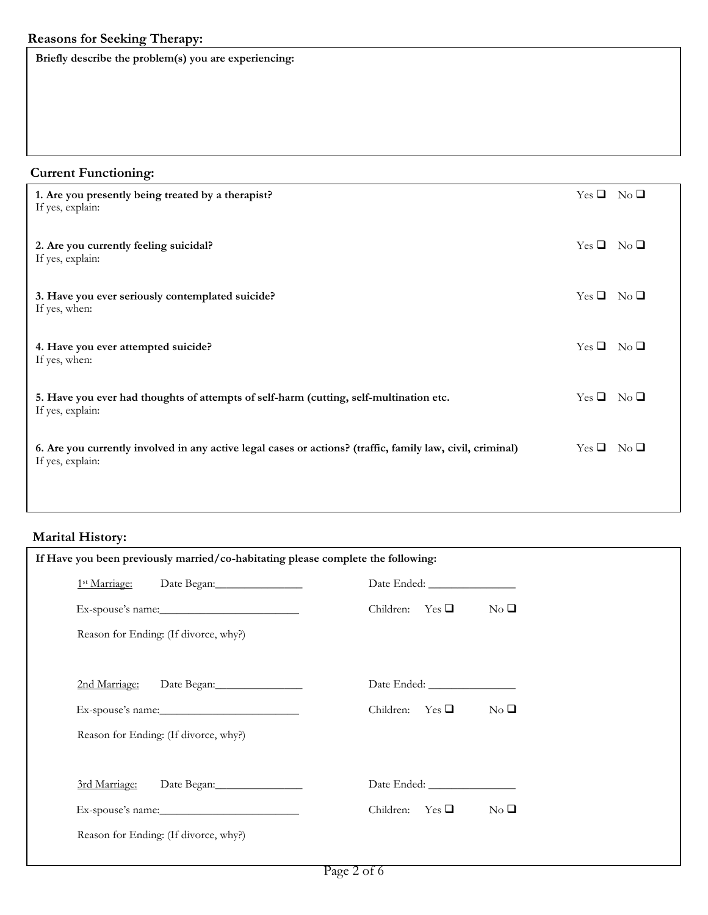**Briefly describe the problem(s) you are experiencing:**

| <b>Current Functioning:</b>                                                                                                    |                    |  |
|--------------------------------------------------------------------------------------------------------------------------------|--------------------|--|
| 1. Are you presently being treated by a therapist?<br>If yes, explain:                                                         | $Yes \Box No \Box$ |  |
| 2. Are you currently feeling suicidal?<br>If yes, explain:                                                                     | $Yes \Box No \Box$ |  |
| 3. Have you ever seriously contemplated suicide?<br>If yes, when:                                                              | $Yes \Box No \Box$ |  |
| 4. Have you ever attempted suicide?<br>If yes, when:                                                                           | $Yes \Box No \Box$ |  |
| 5. Have you ever had thoughts of attempts of self-harm (cutting, self-multination etc.<br>If yes, explain:                     | $Yes \Box No \Box$ |  |
| 6. Are you currently involved in any active legal cases or actions? (traffic, family law, civil, criminal)<br>If yes, explain: | $Yes \Box No \Box$ |  |
|                                                                                                                                |                    |  |

# **Marital History:**

| If Have you been previously married/co-habitating please complete the following: |                                         |
|----------------------------------------------------------------------------------|-----------------------------------------|
| 1 <sup>st</sup> Marriage: Date Began: 150 Marriagn:                              |                                         |
|                                                                                  | Children: Yes $\Box$<br>$\rm No$ $\Box$ |
| Reason for Ending: (If divorce, why?)                                            |                                         |
| 2nd Marriage:                                                                    |                                         |
|                                                                                  | Children: Yes $\Box$<br>$\rm No$ $\Box$ |
| Reason for Ending: (If divorce, why?)                                            |                                         |
| 3rd Marriage:                                                                    |                                         |
|                                                                                  | Children: Yes $\Box$<br>$\rm No$ $\Box$ |
| Reason for Ending: (If divorce, why?)                                            |                                         |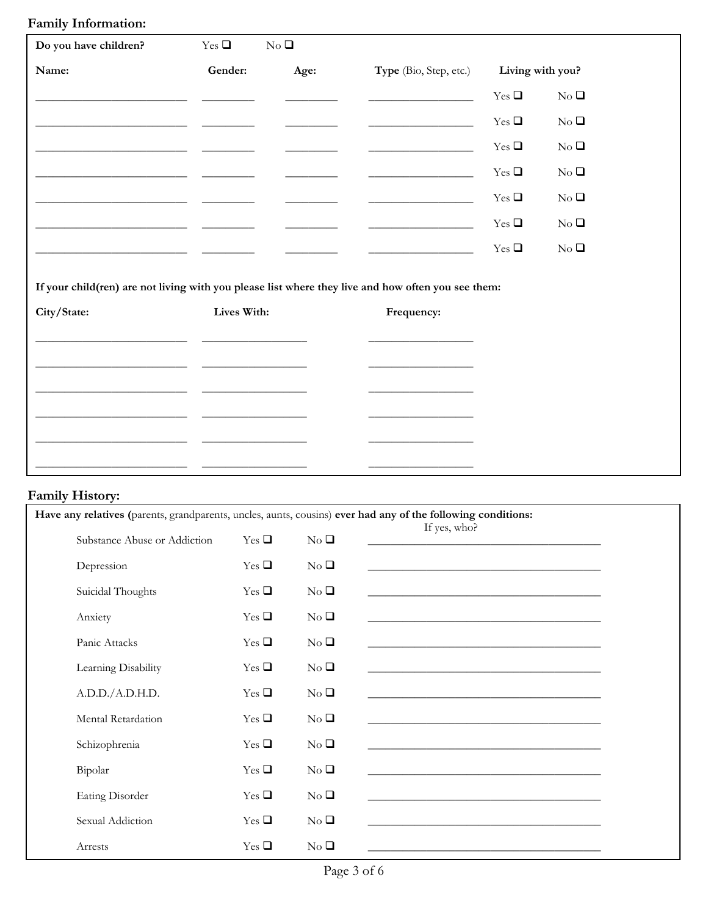### **Family Information:**

| Do you have children?                                                                                             | $Yes \square$                                                                                                                                                                                                                        | $\rm No$ $\Box$                                                                                                                                                                                                                                                                                                                                                                                                                                          |                                                                                                                                                                                                                               |            |                  |
|-------------------------------------------------------------------------------------------------------------------|--------------------------------------------------------------------------------------------------------------------------------------------------------------------------------------------------------------------------------------|----------------------------------------------------------------------------------------------------------------------------------------------------------------------------------------------------------------------------------------------------------------------------------------------------------------------------------------------------------------------------------------------------------------------------------------------------------|-------------------------------------------------------------------------------------------------------------------------------------------------------------------------------------------------------------------------------|------------|------------------|
| Name:                                                                                                             | Gender:                                                                                                                                                                                                                              | Age:                                                                                                                                                                                                                                                                                                                                                                                                                                                     | <b>Type</b> (Bio, Step, etc.)                                                                                                                                                                                                 |            | Living with you? |
|                                                                                                                   |                                                                                                                                                                                                                                      |                                                                                                                                                                                                                                                                                                                                                                                                                                                          | <u> 1990 - Johann Barbara, martin amerikan</u>                                                                                                                                                                                | Yes $\Box$ | $No \square$     |
| <u> 1989 - Andrea Stadt Britain, amerikansk politik (* 1908)</u>                                                  |                                                                                                                                                                                                                                      | $\begin{array}{cccccccccc} \hline \end{array} \hspace{0.27em} \begin{array}{cccccccccc} \hline \end{array} \hspace{0.27em} \begin{array}{cccccccccc} \hline \end{array} \hspace{0.27em} \begin{array}{cccccccccc} \hline \end{array} \hspace{0.27em} \begin{array}{cccccccccc} \hline \end{array} \hspace{0.27em} \begin{array}{cccccccccc} \hline \end{array} \hspace{0.27em} \begin{array}{cccccccccc} \hline \end{array} \hspace{0.27em} \end{array}$ | <u> 1989 - Andrea Barbara, política establecera en la propia de la propia de la propia de la propia de la propia d</u>                                                                                                        | Yes $\Box$ | $No \square$     |
|                                                                                                                   |                                                                                                                                                                                                                                      |                                                                                                                                                                                                                                                                                                                                                                                                                                                          |                                                                                                                                                                                                                               | Yes $\Box$ | $No \square$     |
|                                                                                                                   | <u> The Communication of the Communication of the Communication of the Communication of the Communication of the Communication of the Communication of the Communication of the Communication of the Communication of the Commun</u> |                                                                                                                                                                                                                                                                                                                                                                                                                                                          | <u> 1980 - Johann Barnett, fransk politiker (d. 1980)</u>                                                                                                                                                                     | Yes $\Box$ | $\rm No$ $\Box$  |
|                                                                                                                   |                                                                                                                                                                                                                                      | <u> Alexandro Alexandro (</u>                                                                                                                                                                                                                                                                                                                                                                                                                            | the control of the control of the control of the control of the control of the control of the control of the control of the control of the control of the control of the control of the control of the control of the control | Yes $\Box$ | $No \square$     |
|                                                                                                                   |                                                                                                                                                                                                                                      |                                                                                                                                                                                                                                                                                                                                                                                                                                                          | <u> 1980 - Jan Samuel Barbara, poeta esta</u>                                                                                                                                                                                 | Yes $\Box$ | $\rm No$ $\Box$  |
|                                                                                                                   |                                                                                                                                                                                                                                      |                                                                                                                                                                                                                                                                                                                                                                                                                                                          |                                                                                                                                                                                                                               | Yes $\Box$ | $\rm No$ $\Box$  |
| If your child(ren) are not living with you please list where they live and how often you see them:<br>City/State: | Lives With:                                                                                                                                                                                                                          |                                                                                                                                                                                                                                                                                                                                                                                                                                                          | Frequency:                                                                                                                                                                                                                    |            |                  |

\_\_\_\_\_\_\_\_\_\_\_\_\_\_\_\_\_\_\_\_\_\_\_\_\_\_ \_\_\_\_\_\_\_\_\_\_\_\_\_\_\_\_\_\_ \_\_\_\_\_\_\_\_\_\_\_\_\_\_\_\_\_\_

\_\_\_\_\_\_\_\_\_\_\_\_\_\_\_\_\_\_\_\_\_\_\_\_\_\_ \_\_\_\_\_\_\_\_\_\_\_\_\_\_\_\_\_\_ \_\_\_\_\_\_\_\_\_\_\_\_\_\_\_\_\_\_

\_\_\_\_\_\_\_\_\_\_\_\_\_\_\_\_\_\_\_\_\_\_\_\_\_\_ \_\_\_\_\_\_\_\_\_\_\_\_\_\_\_\_\_\_ \_\_\_\_\_\_\_\_\_\_\_\_\_\_\_\_\_\_

\_\_\_\_\_\_\_\_\_\_\_\_\_\_\_\_\_\_\_\_\_\_\_\_\_\_ \_\_\_\_\_\_\_\_\_\_\_\_\_\_\_\_\_\_ \_\_\_\_\_\_\_\_\_\_\_\_\_\_\_\_\_\_

## **Family History:**

| Have any relatives (parents, grandparents, uncles, aunts, cousins) ever had any of the following conditions: |               |                 |                                                                                                                      |
|--------------------------------------------------------------------------------------------------------------|---------------|-----------------|----------------------------------------------------------------------------------------------------------------------|
| Substance Abuse or Addiction                                                                                 | $Yes \square$ | No <sub>Q</sub> | If yes, who?<br><u> 1980 - Jan Barnett, fransk politik (d. 1980)</u>                                                 |
| Depression                                                                                                   | $Yes \square$ | $No \square$    |                                                                                                                      |
| Suicidal Thoughts                                                                                            | Yes $\Box$    | No <sub>Q</sub> | <u> 1980 - Johann Barbara, martxa alemaniar argumento de la contrada de la contrada de la contrada de la contrad</u> |
| Anxiety                                                                                                      | $Yes \square$ | $No \square$    |                                                                                                                      |
| Panic Attacks                                                                                                | Yes $\Box$    | $No \square$    |                                                                                                                      |
| Learning Disability                                                                                          | Yes $\Box$    | No <sub>Q</sub> |                                                                                                                      |
| A.D.D./A.D.H.D.                                                                                              | $Yes \square$ | $No \square$    |                                                                                                                      |
| Mental Retardation                                                                                           | $Yes \square$ | $No \square$    |                                                                                                                      |
| Schizophrenia                                                                                                | Yes $\Box$    | $No \square$    |                                                                                                                      |
| Bipolar                                                                                                      | Yes $\Box$    | $No \square$    |                                                                                                                      |
| Eating Disorder                                                                                              | $Yes \square$ | $No \square$    |                                                                                                                      |
| Sexual Addiction                                                                                             | Yes $\Box$    | $No \square$    |                                                                                                                      |
| Arrests                                                                                                      | Yes $\Box$    | $No \square$    |                                                                                                                      |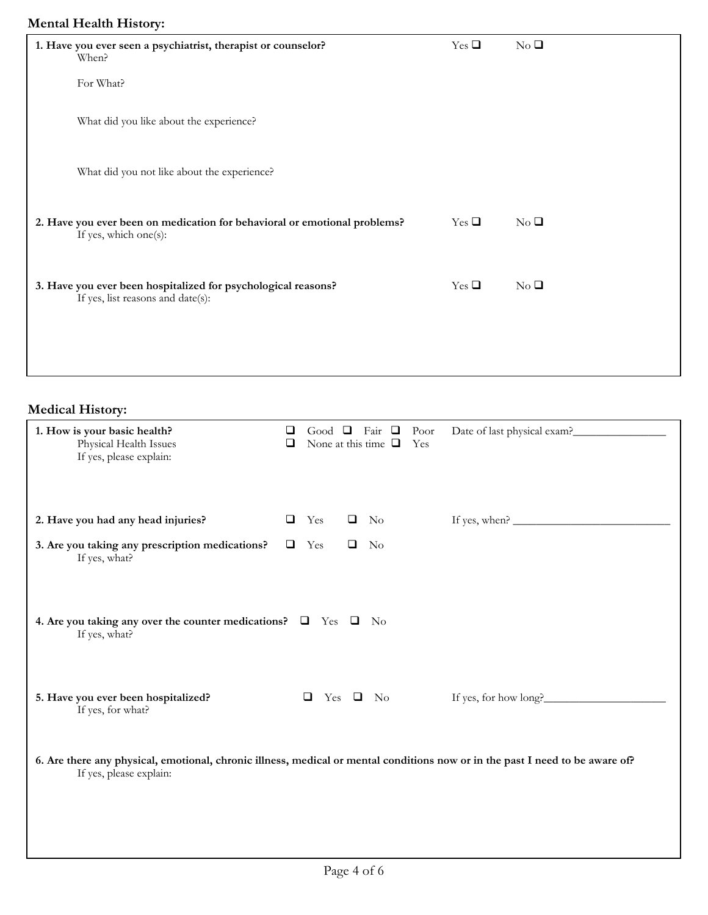### **Mental Health History:**

| - - - -<br>$\sim$ $\sim$ $\sim$ $\sim$                                                             |            |                 |
|----------------------------------------------------------------------------------------------------|------------|-----------------|
| 1. Have you ever seen a psychiatrist, therapist or counselor?<br>When?                             | Yes $\Box$ | $No \square$    |
| For What?                                                                                          |            |                 |
| What did you like about the experience?                                                            |            |                 |
| What did you not like about the experience?                                                        |            |                 |
| 2. Have you ever been on medication for behavioral or emotional problems?<br>If yes, which one(s): | Yes $\Box$ | $No \square$    |
| 3. Have you ever been hospitalized for psychological reasons?<br>If yes, list reasons and date(s): | Yes $\Box$ | $\rm No$ $\Box$ |
|                                                                                                    |            |                 |

**Medical History:**

| 1. How is your basic health?<br>Physical Health Issues<br>If yes, please explain:                                                                        | ❏<br>❏ |        | Good $\Box$ |        | Fair $\Box$<br>Poor<br>None at this time $\Box$<br>Yes | Date of last physical exam?                                                                                                                                                                                                                                                                                        |
|----------------------------------------------------------------------------------------------------------------------------------------------------------|--------|--------|-------------|--------|--------------------------------------------------------|--------------------------------------------------------------------------------------------------------------------------------------------------------------------------------------------------------------------------------------------------------------------------------------------------------------------|
| 2. Have you had any head injuries?                                                                                                                       | Q.     | Yes    |             | $\Box$ | No                                                     | If yes, when? $\frac{1}{2}$ $\frac{1}{2}$ $\frac{1}{2}$ $\frac{1}{2}$ $\frac{1}{2}$ $\frac{1}{2}$ $\frac{1}{2}$ $\frac{1}{2}$ $\frac{1}{2}$ $\frac{1}{2}$ $\frac{1}{2}$ $\frac{1}{2}$ $\frac{1}{2}$ $\frac{1}{2}$ $\frac{1}{2}$ $\frac{1}{2}$ $\frac{1}{2}$ $\frac{1}{2}$ $\frac{1}{2}$ $\frac{1}{2}$ $\frac{1}{2$ |
| 3. Are you taking any prescription medications?<br>If yes, what?                                                                                         | $\Box$ | Yes    |             | $\Box$ | No                                                     |                                                                                                                                                                                                                                                                                                                    |
| 4. Are you taking any over the counter medications? $\Box$ Yes $\Box$ No<br>If yes, what?                                                                |        |        |             |        |                                                        |                                                                                                                                                                                                                                                                                                                    |
| 5. Have you ever been hospitalized?<br>If yes, for what?                                                                                                 |        | $\Box$ |             |        | Yes $\Box$ No                                          | If yes, for how long?                                                                                                                                                                                                                                                                                              |
| 6. Are there any physical, emotional, chronic illness, medical or mental conditions now or in the past I need to be aware of?<br>If yes, please explain: |        |        |             |        |                                                        |                                                                                                                                                                                                                                                                                                                    |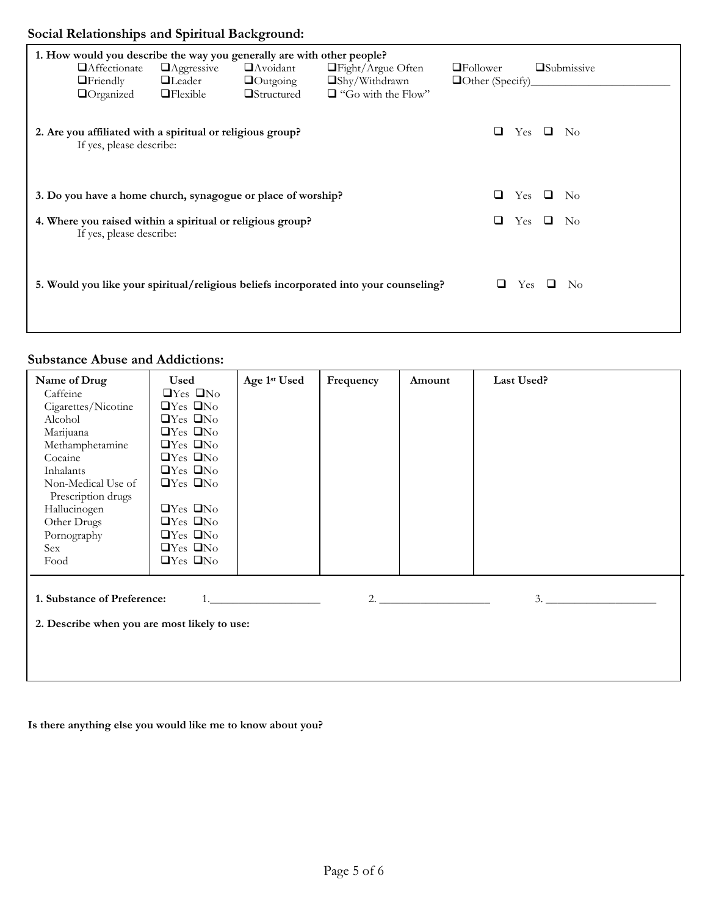# **Social Relationships and Spiritual Background:**

| $\Box$ Friendly                                                                        | <b>Affectionate</b><br>$\Box$ Organized | $\Box$ Aggressive<br>$\Box$ Leader<br>$\Box$ Flexible      | 1. How would you describe the way you generally are with other people?<br>$\Box$ Avoidant<br>$\Box$ Outgoing<br>$\Box$ Structured | $\Box$ Fight/Argue Often<br>□Shy/Withdrawn<br>$\Box$ "Go with the Flow"               | $\Box$ Follower<br>$\Box$ Other (Specify)_ |            |    | <b>Submissive</b> |
|----------------------------------------------------------------------------------------|-----------------------------------------|------------------------------------------------------------|-----------------------------------------------------------------------------------------------------------------------------------|---------------------------------------------------------------------------------------|--------------------------------------------|------------|----|-------------------|
|                                                                                        | If yes, please describe:                | 2. Are you affiliated with a spiritual or religious group? |                                                                                                                                   |                                                                                       | □                                          | Yes        | □  | - No              |
|                                                                                        |                                         |                                                            | 3. Do you have a home church, synagogue or place of worship?                                                                      |                                                                                       | ⊔                                          | <b>Yes</b> | ⊔  | - No              |
| 4. Where you raised within a spiritual or religious group?<br>If yes, please describe: |                                         |                                                            |                                                                                                                                   | ⊔                                                                                     | <b>Yes</b>                                 | □          | No |                   |
|                                                                                        |                                         |                                                            |                                                                                                                                   | 5. Would you like your spiritual/religious beliefs incorporated into your counseling? |                                            | <b>Yes</b> |    | No                |

### **Substance Abuse and Addictions:**

| Name of Drug<br>Caffeine<br>Cigarettes/Nicotine<br>Alcohol<br>Marijuana<br>Methamphetamine<br>Cocaine<br>Inhalants<br>Non-Medical Use of<br>Prescription drugs<br>Hallucinogen<br>Other Drugs<br>Pornography<br>Sex | <b>Used</b><br>$\Box$ Yes $\Box$ No<br>$\Box$ Yes $\Box$ No<br>$\Box$ Yes $\Box$ No<br>$\Box$ Yes $\Box$ No<br>$\Box$ Yes $\Box$ No<br>$\Box$ Yes $\Box$ No<br>$\Box$ Yes $\Box$ No<br>$\Box$ Yes $\Box$ No<br>$\Box$ Yes $\Box$ No<br>$\Box$ Yes $\Box$ No<br>$\Box$ Yes $\Box$ No<br>$\Box$ Yes $\Box$ No | Age 1st Used | Frequency | Amount | Last Used? |
|---------------------------------------------------------------------------------------------------------------------------------------------------------------------------------------------------------------------|-------------------------------------------------------------------------------------------------------------------------------------------------------------------------------------------------------------------------------------------------------------------------------------------------------------|--------------|-----------|--------|------------|
| Food<br>1. Substance of Preference:<br>2. Describe when you are most likely to use:                                                                                                                                 | $\Box$ Yes $\Box$ No                                                                                                                                                                                                                                                                                        |              |           | 2.     | 3.         |

**Is there anything else you would like me to know about you?**